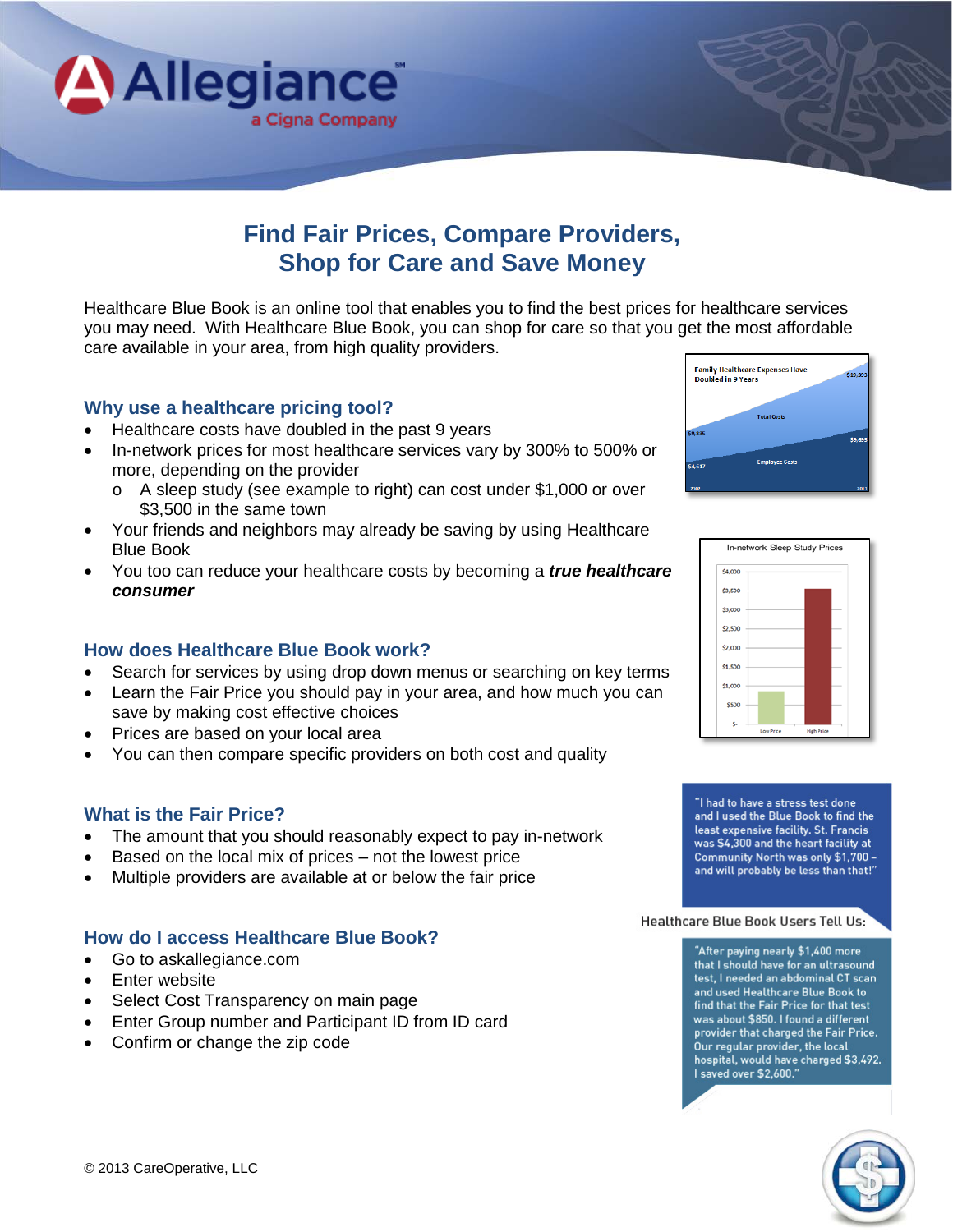

# **Find Fair Prices, Compare Providers, Shop for Care and Save Money**

Healthcare Blue Book is an online tool that enables you to find the best prices for healthcare services you may need. With Healthcare Blue Book, you can shop for care so that you get the most affordable care available in your area, from high quality providers.

### **Why use a healthcare pricing tool?**

- Healthcare costs have doubled in the past 9 years
- In-network prices for most healthcare services vary by 300% to 500% or more, depending on the provider
	- o A sleep study (see example to right) can cost under \$1,000 or over \$3,500 in the same town
- Your friends and neighbors may already be saving by using Healthcare Blue Book
- You too can reduce your healthcare costs by becoming a *true healthcare consumer*

### **How does Healthcare Blue Book work?**

- Search for services by using drop down menus or searching on key terms
- Learn the Fair Price you should pay in your area, and how much you can save by making cost effective choices
- Prices are based on your local area
- You can then compare specific providers on both cost and quality

### **What is the Fair Price?**

- The amount that you should reasonably expect to pay in-network
- Based on the local mix of prices not the lowest price
- Multiple providers are available at or below the fair price

### **How do I access Healthcare Blue Book?**

- Go to askallegiance.com
- Enter website
- Select Cost Transparency on main page
- Enter Group number and Participant ID from ID card
- Confirm or change the zip code





"I had to have a stress test done and I used the Blue Book to find the least expensive facility. St. Francis was \$4,300 and the heart facility at Community North was only \$1,700 and will probably be less than that!"

Healthcare Blue Book Users Tell Us:

"After paying nearly \$1,400 more that I should have for an ultrasound test, I needed an abdominal CT scan and used Healthcare Blue Book to find that the Fair Price for that test was about \$850. I found a different provider that charged the Fair Price. Our regular provider, the local hospital, would have charged \$3,492. I saved over \$2,600."